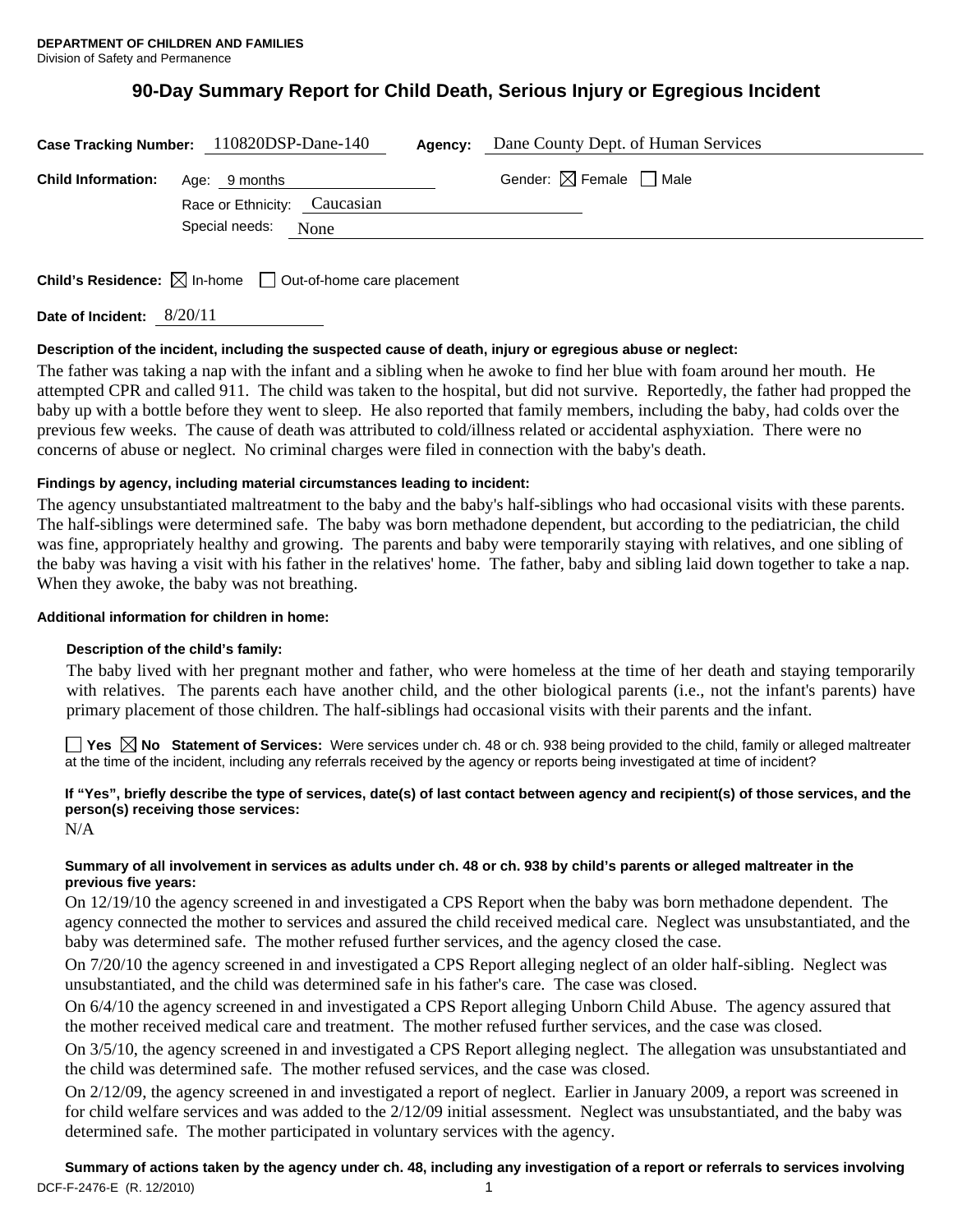# **90-Day Summary Report for Child Death, Serious Injury or Egregious Incident**

| Case Tracking Number: 110820DSP-Dane-140<br>Agency: |                              |  | Dane County Dept. of Human Services    |
|-----------------------------------------------------|------------------------------|--|----------------------------------------|
| <b>Child Information:</b>                           | Age: 9 months                |  | Gender: $\boxtimes$ Female $\Box$ Male |
|                                                     | Race or Ethnicity: Caucasian |  |                                        |
|                                                     | Special needs:<br>None       |  |                                        |
|                                                     |                              |  |                                        |

**Child's Residence:**  $\boxtimes$  In-home  $\Box$  Out-of-home care placement

**Date of Incident:** 8/20/11

#### **Description of the incident, including the suspected cause of death, injury or egregious abuse or neglect:**

The father was taking a nap with the infant and a sibling when he awoke to find her blue with foam around her mouth. He attempted CPR and called 911. The child was taken to the hospital, but did not survive. Reportedly, the father had propped the baby up with a bottle before they went to sleep. He also reported that family members, including the baby, had colds over the previous few weeks. The cause of death was attributed to cold/illness related or accidental asphyxiation. There were no concerns of abuse or neglect. No criminal charges were filed in connection with the baby's death.

# **Findings by agency, including material circumstances leading to incident:**

The agency unsubstantiated maltreatment to the baby and the baby's half-siblings who had occasional visits with these parents. The half-siblings were determined safe. The baby was born methadone dependent, but according to the pediatrician, the child was fine, appropriately healthy and growing. The parents and baby were temporarily staying with relatives, and one sibling of the baby was having a visit with his father in the relatives' home. The father, baby and sibling laid down together to take a nap. When they awoke, the baby was not breathing.

#### **Additional information for children in home:**

#### **Description of the child's family:**

The baby lived with her pregnant mother and father, who were homeless at the time of her death and staying temporarily with relatives. The parents each have another child, and the other biological parents (i.e., not the infant's parents) have primary placement of those children. The half-siblings had occasional visits with their parents and the infant.

■ Yes **No** Statement of Services: Were services under ch. 48 or ch. 938 being provided to the child, family or alleged maltreater at the time of the incident, including any referrals received by the agency or reports being investigated at time of incident?

# **If "Yes", briefly describe the type of services, date(s) of last contact between agency and recipient(s) of those services, and the person(s) receiving those services:**

N/A

# **Summary of all involvement in services as adults under ch. 48 or ch. 938 by child's parents or alleged maltreater in the previous five years:**

On 12/19/10 the agency screened in and investigated a CPS Report when the baby was born methadone dependent. The agency connected the mother to services and assured the child received medical care. Neglect was unsubstantiated, and the baby was determined safe. The mother refused further services, and the agency closed the case.

On 7/20/10 the agency screened in and investigated a CPS Report alleging neglect of an older half-sibling. Neglect was unsubstantiated, and the child was determined safe in his father's care. The case was closed.

On 6/4/10 the agency screened in and investigated a CPS Report alleging Unborn Child Abuse. The agency assured that the mother received medical care and treatment. The mother refused further services, and the case was closed.

On 3/5/10, the agency screened in and investigated a CPS Report alleging neglect. The allegation was unsubstantiated and the child was determined safe. The mother refused services, and the case was closed.

On 2/12/09, the agency screened in and investigated a report of neglect. Earlier in January 2009, a report was screened in for child welfare services and was added to the 2/12/09 initial assessment. Neglect was unsubstantiated, and the baby was determined safe. The mother participated in voluntary services with the agency.

DCF-F-2476-E (R. 12/2010) 1 **Summary of actions taken by the agency under ch. 48, including any investigation of a report or referrals to services involving**